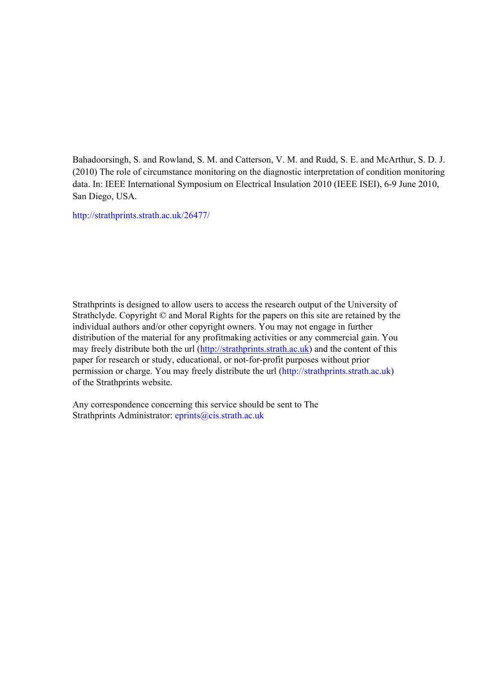Bahadoorsingh, S. and Rowland, S. M. and Catterson, V. M. and Rudd, S. E. and McArthur, S. D. J. (2010) The role of circumstance monitoring on the diagnostic interpretation of condition monitoring data. In: IEEE International Symposium on Electrical Insulation 2010 (IEEE ISEI), 6-9 June 2010, San Diego, USA.

[http://strathprints.strath.ac.uk/](http://strathprints.strath.ac.uk/26477/)26477/

Strathprints is designed to allow users to access the research output of the University of Strathclyde. Copyright © and Moral Rights for the papers on this site are retained by the individual authors and/or other copyright owners. You may not engage in further distribution of the material for any profitmaking activities or any commercial gain. You may freely distribute both the url [\(http://strathprints.strath.ac.uk\)](https://nemo.strath.ac.uk/exchweb/bin/redir.asp?URL=http://eprints.cdlr.strath.ac.uk) and the content of this paper for research or study, educational, or not-for-profit purposes without prior permission or charge. You may freely distribute the url (http://strathprints.strath.ac.uk) of the Strathprints website.

Any correspondence concerning this service should be sent to The Strathprints Administrator: eprints@cis.strath.ac.uk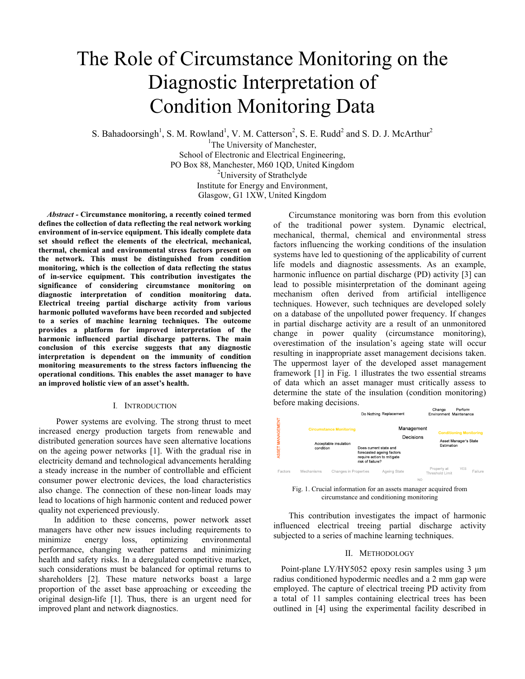# The Role of Circumstance Monitoring on the Diagnostic Interpretation of Condition Monitoring Data

S. Bahadoorsingh<sup>1</sup>, S. M. Rowland<sup>1</sup>, V. M. Catterson<sup>2</sup>, S. E. Rudd<sup>2</sup> and S. D. J. McArthur<sup>2</sup>

<sup>1</sup>The University of Manchester, School of Electronic and Electrical Engineering, PO Box 88, Manchester, M60 1QD, United Kingdom <sup>2</sup>University of Strathclyde Institute for Energy and Environment, Glasgow, G1 1XW, United Kingdom

 *Abstract -* **Circumstance monitoring, a recently coined termed defines the collection of data reflecting the real network working environment of in-service equipment. This ideally complete data set should reflect the elements of the electrical, mechanical, thermal, chemical and environmental stress factors present on the network. This must be distinguished from condition monitoring, which is the collection of data reflecting the status of in-service equipment. This contribution investigates the significance of considering circumstance monitoring on diagnostic interpretation of condition monitoring data. Electrical treeing partial discharge activity from various harmonic polluted waveforms have been recorded and subjected to a series of machine learning techniques. The outcome provides a platform for improved interpretation of the harmonic influenced partial discharge patterns. The main conclusion of this exercise suggests that any diagnostic interpretation is dependent on the immunity of condition monitoring measurements to the stress factors influencing the operational conditions. This enables the asset manager to have an improved holistic view of an asset's health.**

# I. INTRODUCTION

 Power systems are evolving. The strong thrust to meet increased energy production targets from renewable and distributed generation sources have seen alternative locations on the ageing power networks [1]. With the gradual rise in electricity demand and technological advancements heralding a steady increase in the number of controllable and efficient consumer power electronic devices, the load characteristics also change. The connection of these non-linear loads may lead to locations of high harmonic content and reduced power quality not experienced previously.

In addition to these concerns, power network asset managers have other new issues including requirements to minimize energy loss, optimizing environmental performance, changing weather patterns and minimizing health and safety risks. In a deregulated competitive market, such considerations must be balanced for optimal returns to shareholders [2]. These mature networks boast a large proportion of the asset base approaching or exceeding the original design-life [1]. Thus, there is an urgent need for improved plant and network diagnostics.

Circumstance monitoring was born from this evolution of the traditional power system. Dynamic electrical, mechanical, thermal, chemical and environmental stress factors influencing the working conditions of the insulation systems have led to questioning of the applicability of current life models and diagnostic assessments. As an example, harmonic influence on partial discharge (PD) activity [3] can lead to possible misinterpretation of the dominant ageing mechanism often derived from artificial intelligence techniques. However, such techniques are developed solely on a database of the unpolluted power frequency. If changes in partial discharge activity are a result of an unmonitored change in power quality (circumstance monitoring), overestimation of the insulation's ageing state will occur resulting in inappropriate asset management decisions taken. The uppermost layer of the developed asset management framework [1] in Fig. 1 illustrates the two essential streams of data which an asset manager must critically assess to determine the state of the insulation (condition monitoring) before making decisions.



Fig. 1. Crucial information for an assets manager acquired from circumstance and conditioning monitoring

This contribution investigates the impact of harmonic influenced electrical treeing partial discharge activity subjected to a series of machine learning techniques.

## II. METHODOLOGY

Point-plane LY/HY5052 epoxy resin samples using 3  $\mu$ m radius conditioned hypodermic needles and a 2 mm gap were employed. The capture of electrical treeing PD activity from a total of 11 samples containing electrical trees has been outlined in [4] using the experimental facility described in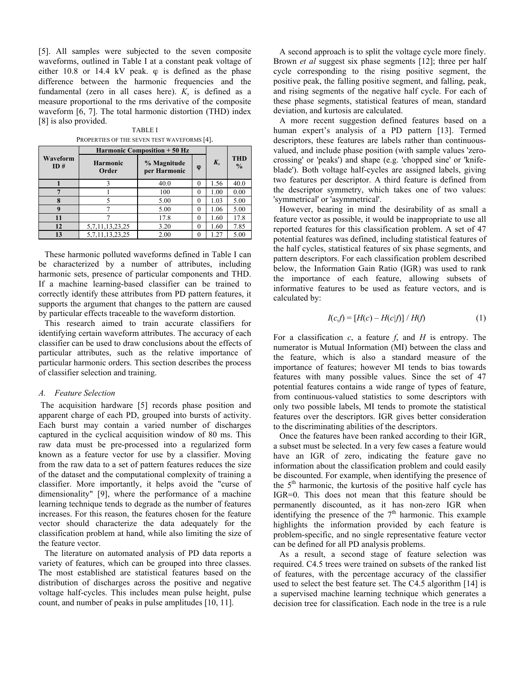[5]. All samples were subjected to the seven composite waveforms, outlined in Table I at a constant peak voltage of either  $10.8$  or  $14.4$  kV peak.  $\varphi$  is defined as the phase difference between the harmonic frequencies and the fundamental (zero in all cases here).  $K_s$  is defined as a measure proportional to the rms derivative of the composite waveform [6, 7]. The total harmonic distortion (THD) index [8] is also provided.

TABLE I PROPERTIES OF THE SEVEN TEST WAVEFORMS [4].

|                 | <b>Harmonic Composition + 50 Hz</b> |                             |          |         |                             |
|-----------------|-------------------------------------|-----------------------------|----------|---------|-----------------------------|
| Waveform<br>ID# | <b>Harmonic</b><br>Order            | % Magnitude<br>per Harmonic | φ        | $K_{s}$ | <b>THD</b><br>$\frac{0}{0}$ |
|                 |                                     | 40.0                        | $^{(1)}$ | 1.56    | 40.0                        |
|                 |                                     | 100                         | $\theta$ | 1.00    | 0.00                        |
|                 |                                     | 5.00                        | $^{(1)}$ | 1.03    | 5.00                        |
|                 |                                     | 5.00                        | $\theta$ | 1.06    | 5.00                        |
| 11              |                                     | 17.8                        | 0        | 1.60    | 17.8                        |
| 12              | 5, 7, 11, 13, 23, 25                | 3.20                        | $\theta$ | 1.60    | 7.85                        |
| 13              | 5, 7, 11, 13, 23, 25                | 2.00                        |          | -27     | 5.00                        |

These harmonic polluted waveforms defined in Table I can be characterized by a number of attributes, including harmonic sets, presence of particular components and THD. If a machine learning-based classifier can be trained to correctly identify these attributes from PD pattern features, it supports the argument that changes to the pattern are caused by particular effects traceable to the waveform distortion.

This research aimed to train accurate classifiers for identifying certain waveform attributes. The accuracy of each classifier can be used to draw conclusions about the effects of particular attributes, such as the relative importance of particular harmonic orders. This section describes the process of classifier selection and training.

# *A. Feature Selection*

 The acquisition hardware [5] records phase position and apparent charge of each PD, grouped into bursts of activity. Each burst may contain a varied number of discharges captured in the cyclical acquisition window of 80 ms. This raw data must be pre-processed into a regularized form known as a feature vector for use by a classifier. Moving from the raw data to a set of pattern features reduces the size of the dataset and the computational complexity of training a classifier. More importantly, it helps avoid the "curse of dimensionality" [9], where the performance of a machine learning technique tends to degrade as the number of features increases. For this reason, the features chosen for the feature vector should characterize the data adequately for the classification problem at hand, while also limiting the size of the feature vector.

The literature on automated analysis of PD data reports a variety of features, which can be grouped into three classes. The most established are statistical features based on the distribution of discharges across the positive and negative voltage half-cycles. This includes mean pulse height, pulse count, and number of peaks in pulse amplitudes [10, 11].

A second approach is to split the voltage cycle more finely. Brown *et al* suggest six phase segments [12]; three per half cycle corresponding to the rising positive segment, the positive peak, the falling positive segment, and falling, peak, and rising segments of the negative half cycle. For each of these phase segments, statistical features of mean, standard deviation, and kurtosis are calculated.

A more recent suggestion defined features based on a human expert's analysis of a PD pattern [13]. Termed descriptors, these features are labels rather than continuousvalued, and include phase position (with sample values 'zerocrossing' or 'peaks') and shape (e.g. 'chopped sine' or 'knifeblade'). Both voltage half-cycles are assigned labels, giving two features per descriptor. A third feature is defined from the descriptor symmetry, which takes one of two values: 'symmetrical' or 'asymmetrical'.

However, bearing in mind the desirability of as small a feature vector as possible, it would be inappropriate to use all reported features for this classification problem. A set of 47 potential features was defined, including statistical features of the half cycles, statistical features of six phase segments, and pattern descriptors. For each classification problem described below, the Information Gain Ratio (IGR) was used to rank the importance of each feature, allowing subsets of informative features to be used as feature vectors, and is calculated by:

$$
I(c,f) = [H(c) - H(c|f)] / H(f)
$$
\n(1)

For a classification *c*, a feature *f*, and *H* is entropy. The numerator is Mutual Information (MI) between the class and the feature, which is also a standard measure of the importance of features; however MI tends to bias towards features with many possible values. Since the set of 47 potential features contains a wide range of types of feature, from continuous-valued statistics to some descriptors with only two possible labels, MI tends to promote the statistical features over the descriptors. IGR gives better consideration to the discriminating abilities of the descriptors.

Once the features have been ranked according to their IGR, a subset must be selected. In a very few cases a feature would have an IGR of zero, indicating the feature gave no information about the classification problem and could easily be discounted. For example, when identifying the presence of the  $5<sup>th</sup>$  harmonic, the kurtosis of the positive half cycle has IGR=0. This does not mean that this feature should be permanently discounted, as it has non-zero IGR when identifying the presence of the  $7<sup>th</sup>$  harmonic. This example highlights the information provided by each feature is problem-specific, and no single representative feature vector can be defined for all PD analysis problems.

As a result, a second stage of feature selection was required. C4.5 trees were trained on subsets of the ranked list of features, with the percentage accuracy of the classifier used to select the best feature set. The C4.5 algorithm [14] is a supervised machine learning technique which generates a decision tree for classification. Each node in the tree is a rule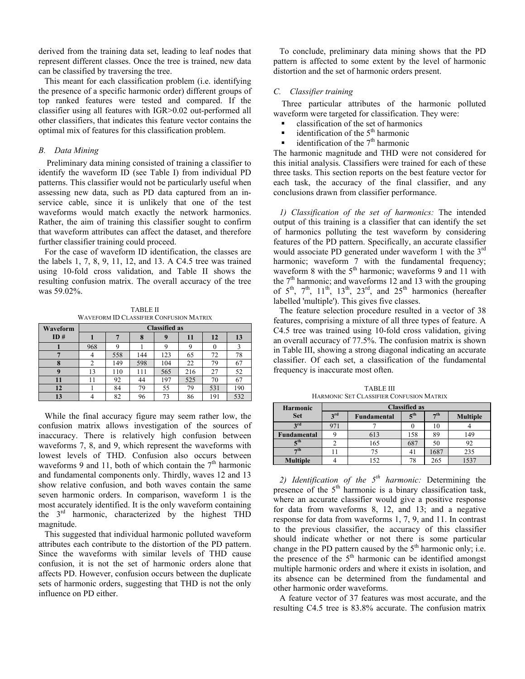derived from the training data set, leading to leaf nodes that represent different classes. Once the tree is trained, new data can be classified by traversing the tree.

This meant for each classification problem (i.e. identifying the presence of a specific harmonic order) different groups of top ranked features were tested and compared. If the classifier using all features with IGR>0.02 out-performed all other classifiers, that indicates this feature vector contains the optimal mix of features for this classification problem.

# *B. Data Mining*

Preliminary data mining consisted of training a classifier to identify the waveform ID (see Table I) from individual PD patterns. This classifier would not be particularly useful when assessing new data, such as PD data captured from an inservice cable, since it is unlikely that one of the test waveforms would match exactly the network harmonics. Rather, the aim of training this classifier sought to confirm that waveform attributes can affect the dataset, and therefore further classifier training could proceed.

For the case of waveform ID identification, the classes are the labels 1, 7, 8, 9, 11, 12, and 13. A C4.5 tree was trained using 10-fold cross validation, and Table II shows the resulting confusion matrix. The overall accuracy of the tree was 59.02%.

TABLE II WAVEFORM ID CLASSIFIER CONFUSION MATRIX

| Waveform | <b>Classified as</b> |     |     |     |     |     |     |
|----------|----------------------|-----|-----|-----|-----|-----|-----|
| ID#      |                      |     |     | Q   | 11  | 12  | 13  |
|          | 968                  |     |     |     |     |     |     |
|          |                      | 558 | 144 | 123 | 65  | 72  | 78  |
|          |                      | 149 | 598 | 104 | 22  | 79  | 67  |
|          | 13                   | 110 | 111 | 565 | 216 | 27  | 52  |
|          |                      | 92  | 44  | 197 | 525 | 70  | 67  |
| 12       |                      | 84  | 79  | 55  | 79  | 531 | 190 |
| 13       |                      | 82  | 96  | 73  | 86  | 191 | 532 |

While the final accuracy figure may seem rather low, the confusion matrix allows investigation of the sources of inaccuracy. There is relatively high confusion between waveforms 7, 8, and 9, which represent the waveforms with lowest levels of THD. Confusion also occurs between waveforms 9 and 11, both of which contain the  $7<sup>th</sup>$  harmonic and fundamental components only. Thirdly, waves 12 and 13 show relative confusion, and both waves contain the same seven harmonic orders. In comparison, waveform 1 is the most accurately identified. It is the only waveform containing the  $3<sup>rd</sup>$  harmonic, characterized by the highest THD magnitude.

This suggested that individual harmonic polluted waveform attributes each contribute to the distortion of the PD pattern. Since the waveforms with similar levels of THD cause confusion, it is not the set of harmonic orders alone that affects PD. However, confusion occurs between the duplicate sets of harmonic orders, suggesting that THD is not the only influence on PD either.

To conclude, preliminary data mining shows that the PD pattern is affected to some extent by the level of harmonic distortion and the set of harmonic orders present.

# *C. Classifier training*

Three particular attributes of the harmonic polluted waveform were targeted for classification. They were:

- classification of the set of harmonics
- identification of the  $5<sup>th</sup>$  harmonic
- identification of the  $7<sup>th</sup>$  harmonic

The harmonic magnitude and THD were not considered for this initial analysis. Classifiers were trained for each of these three tasks. This section reports on the best feature vector for each task, the accuracy of the final classifier, and any conclusions drawn from classifier performance.

*1) Classification of the set of harmonics:* The intended output of this training is a classifier that can identify the set of harmonics polluting the test waveform by considering features of the PD pattern. Specifically, an accurate classifier would associate PD generated under waveform 1 with the 3<sup>rd</sup> harmonic; waveform 7 with the fundamental frequency; waveform 8 with the  $5<sup>th</sup>$  harmonic; waveforms 9 and 11 with the  $7<sup>th</sup>$  harmonic; and waveforms 12 and 13 with the grouping of  $5<sup>th</sup>$ ,  $7<sup>th</sup>$ ,  $11<sup>th</sup>$ ,  $13<sup>th</sup>$ ,  $23<sup>rd</sup>$ , and  $25<sup>th</sup>$  harmonics (hereafter labelled 'multiple'). This gives five classes.

The feature selection procedure resulted in a vector of 38 features, comprising a mixture of all three types of feature. A C4.5 tree was trained using 10-fold cross validation, giving an overall accuracy of 77.5%. The confusion matrix is shown in Table III, showing a strong diagonal indicating an accurate classifier. Of each set, a classification of the fundamental frequency is inaccurate most often.

| HARMONIC SET CLASSIFIER CONFUSION MATRIX |                      |                                                                             |     |      |      |  |  |
|------------------------------------------|----------------------|-----------------------------------------------------------------------------|-----|------|------|--|--|
| <b>Harmonic</b>                          | <b>Classified as</b> |                                                                             |     |      |      |  |  |
| <b>Set</b>                               | 3rd                  | 7 <sup>th</sup><br>5 <sup>th</sup><br><b>Multiple</b><br><b>Fundamental</b> |     |      |      |  |  |
| 3rd                                      | 971                  |                                                                             |     | 10   |      |  |  |
| Fundamental                              |                      | 613                                                                         | 158 | 89   | 149  |  |  |
| $\mathbf{z}^{\text{th}}$                 |                      | 165                                                                         | 687 | 50   | 92   |  |  |
| $\neg$ th                                |                      |                                                                             | 41  | 1687 | 235  |  |  |
| <b>Multiple</b>                          |                      | 152                                                                         | 78  | 265  | 1537 |  |  |

TABLE III HARMONIC SET CLASSIFIER CONFUSION MATRIX

*2) Identification of the 5th harmonic:* Determining the presence of the  $5<sup>th</sup>$  harmonic is a binary classification task, where an accurate classifier would give a positive response for data from waveforms 8, 12, and 13; and a negative response for data from waveforms 1, 7, 9, and 11. In contrast to the previous classifier, the accuracy of this classifier should indicate whether or not there is some particular change in the PD pattern caused by the  $5<sup>th</sup>$  harmonic only; i.e. the presence of the  $5<sup>th</sup>$  harmonic can be identified amongst multiple harmonic orders and where it exists in isolation, and its absence can be determined from the fundamental and other harmonic order waveforms.

A feature vector of 37 features was most accurate, and the resulting C4.5 tree is 83.8% accurate. The confusion matrix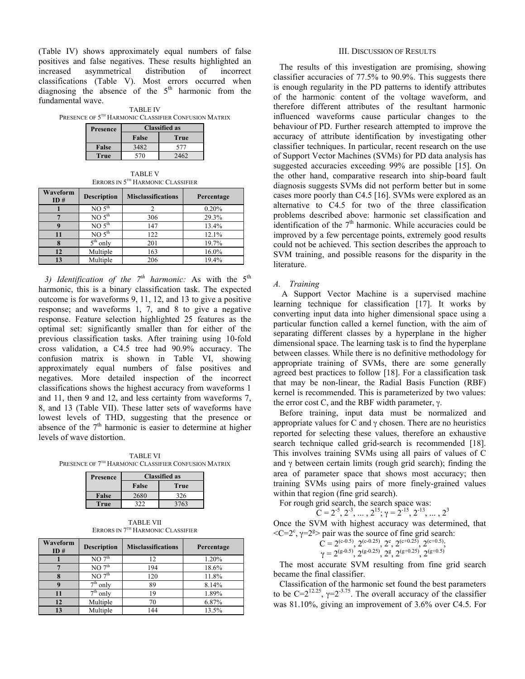(Table IV) shows approximately equal numbers of false positives and false negatives. These results highlighted an increased asymmetrical distribution of incorrect classifications (Table V). Most errors occurred when diagnosing the absence of the  $5<sup>th</sup>$  harmonic from the fundamental wave.

|                                                      | Drosongo I | Classified as |  |  |  |  |  |
|------------------------------------------------------|------------|---------------|--|--|--|--|--|
| PRESENCE OF 5TH HARMONIC CLASSIFIER CONFUSION MATRIX |            |               |  |  |  |  |  |
| <b>TABLE IV</b>                                      |            |               |  |  |  |  |  |

| <b>Presence</b> | <b>Classified as</b> |      |  |
|-----------------|----------------------|------|--|
|                 | False                | True |  |
| False           | 3482                 | 577  |  |
| True            | 570                  |      |  |

TABLE V ERRORS IN 5TH HARMONIC CLASSIFIER

| Waveform<br>ID# | <b>Description</b>            | <b>Misclassifications</b> | Percentage |
|-----------------|-------------------------------|---------------------------|------------|
|                 | NO <sub>5</sub> <sup>th</sup> |                           | 0.20%      |
|                 | NO <sub>5</sub> <sup>th</sup> | 306                       | 29.3%      |
|                 | NO <sub>5</sub> <sup>th</sup> | 147                       | 13.4%      |
| 11              | NO <sub>5</sub> <sup>th</sup> | 122                       | 12.1%      |
|                 | $5th$ only                    | 201                       | 19.7%      |
| 12              | Multiple                      | 163                       | 16.0%      |
| 13              | Multiple                      | 206                       | 19.4%      |

3) Identification of the  $7^{th}$  harmonic: As with the  $5^{th}$ harmonic, this is a binary classification task. The expected outcome is for waveforms 9, 11, 12, and 13 to give a positive response; and waveforms 1, 7, and 8 to give a negative response. Feature selection highlighted 25 features as the optimal set: significantly smaller than for either of the previous classification tasks. After training using 10-fold cross validation, a C4.5 tree had 90.9% accuracy. The confusion matrix is shown in Table VI, showing approximately equal numbers of false positives and negatives. More detailed inspection of the incorrect classifications shows the highest accuracy from waveforms 1 and 11, then 9 and 12, and less certainty from waveforms 7, 8, and 13 (Table VII). These latter sets of waveforms have lowest levels of THD, suggesting that the presence or absence of the  $7<sup>th</sup>$  harmonic is easier to determine at higher levels of wave distortion.

TABLE VI PRESENCE OF 7TH HARMONIC CLASSIFIER CONFUSION MATRIX

| Presence | <b>Classified as</b> |      |  |
|----------|----------------------|------|--|
|          | <b>False</b>         | True |  |
| False    | 2680                 | 326  |  |
| True     | 372                  | 3763 |  |

TABLE VII ERRORS IN 7TH HARMONIC CLASSIFIER

| Waveform<br>ID# | <b>Description</b> | <b>Misclassifications</b> | Percentage |
|-----------------|--------------------|---------------------------|------------|
|                 | NO7 <sup>th</sup>  | 12                        | 1.20%      |
|                 | NO7 <sup>th</sup>  | 194                       | 18.6%      |
|                 | NO7 <sup>th</sup>  | 120                       | 11.8%      |
|                 | $7th$ only         | 89                        | 8.14%      |
|                 | $7th$ only         | 19                        | 1.89%      |
| 12              | Multiple           | 70                        | 6.87%      |
| 13              | Multiple           | 144                       | 13.5%      |

#### III. DISCUSSION OF RESULTS

The results of this investigation are promising, showing classifier accuracies of 77.5% to 90.9%. This suggests there is enough regularity in the PD patterns to identify attributes of the harmonic content of the voltage waveform, and therefore different attributes of the resultant harmonic influenced waveforms cause particular changes to the behaviour of PD. Further research attempted to improve the accuracy of attribute identification by investigating other classifier techniques. In particular, recent research on the use of Support Vector Machines (SVMs) for PD data analysis has suggested accuracies exceeding 99% are possible [15]. On the other hand, comparative research into ship-board fault diagnosis suggests SVMs did not perform better but in some cases more poorly than C4.5 [16]. SVMs were explored as an alternative to C4.5 for two of the three classification problems described above: harmonic set classification and identification of the  $7<sup>th</sup>$  harmonic. While accuracies could be improved by a few percentage points, extremely good results could not be achieved. This section describes the approach to SVM training, and possible reasons for the disparity in the literature.

# *A. Training*

A Support Vector Machine is a supervised machine learning technique for classification [17]. It works by converting input data into higher dimensional space using a particular function called a kernel function, with the aim of separating different classes by a hyperplane in the higher dimensional space. The learning task is to find the hyperplane between classes. While there is no definitive methodology for appropriate training of SVMs, there are some generally agreed best practices to follow [18]. For a classification task that may be non-linear, the Radial Basis Function (RBF) kernel is recommended. This is parameterized by two values: the error cost C, and the RBF width parameter, γ.

Before training, input data must be normalized and appropriate values for C and  $\gamma$  chosen. There are no heuristics reported for selecting these values, therefore an exhaustive search technique called grid-search is recommended [18]. This involves training SVMs using all pairs of values of C and  $\gamma$  between certain limits (rough grid search); finding the area of parameter space that shows most accuracy; then training SVMs using pairs of more finely-grained values within that region (fine grid search).

For rough grid search, the search space was:

$$
C = 2^{-5}, 2^{-3}, \dots, 2^{15}; \gamma = 2^{-15}, 2^{-13}, \dots, 2^3
$$

Once the SVM with highest accuracy was determined, that  $\langle C=2^c, \gamma=2^g$  pair was the source of fine grid search:

$$
\begin{array}{l} \tilde{C} = 2^{(c \text{-} 0.5)}, \, 2^{(c \text{-} 0.25)}, \, 2^c, \, 2^{(c \text{+} 0.25)}, \, 2^{(c \text{+} 0.5)}, \\ \gamma = 2^{(g \text{-} 0.5)}, \, 2^{(g \text{-} 0.25)}, \, 2^g, \, 2^{(g \text{+} 0.25)}, \, 2^{(g \text{+} 0.5)} \end{array}
$$

The most accurate SVM resulting from fine grid search became the final classifier.

Classification of the harmonic set found the best parameters to be  $C=2^{12.25}$ ,  $\gamma=2^{-3.75}$ . The overall accuracy of the classifier was 81.10%, giving an improvement of 3.6% over C4.5. For